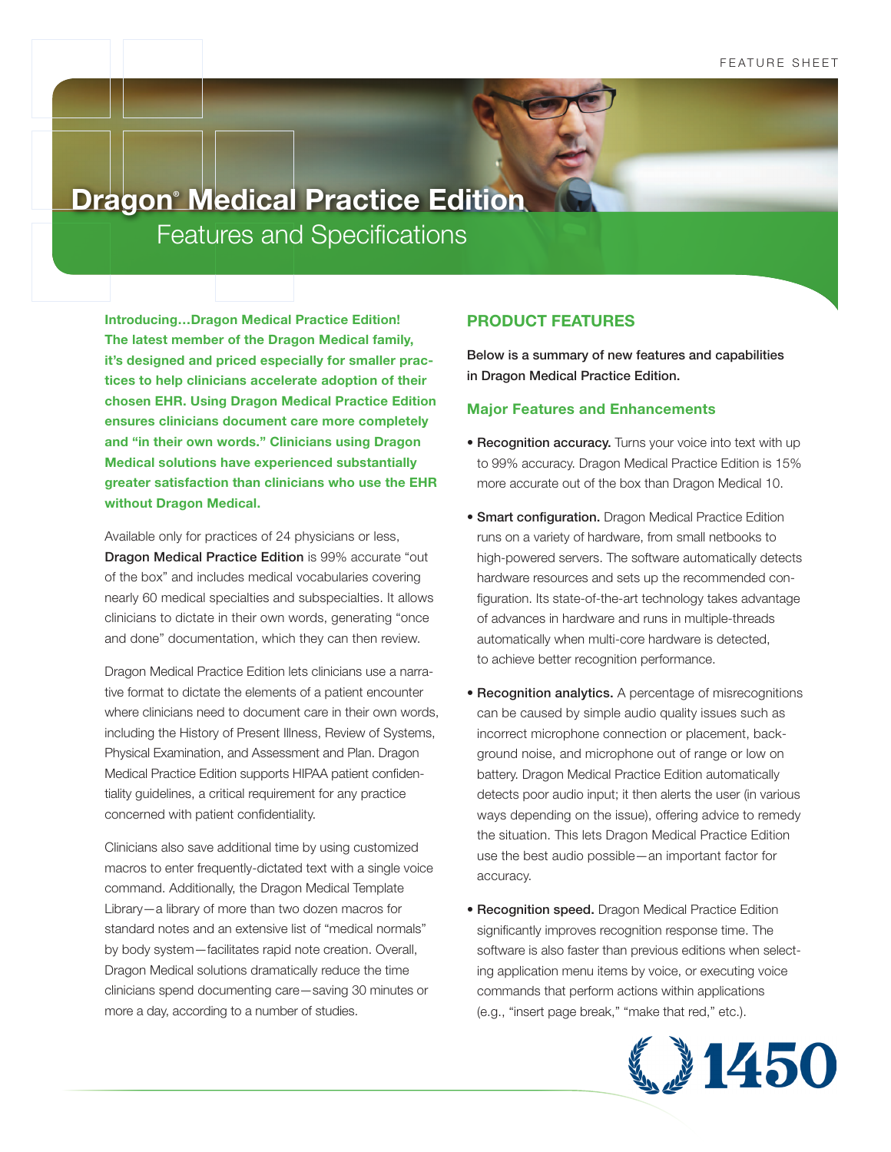# Features and Specifications **Dragon® Medical Practice Edition**

**Introducing…Dragon Medical Practice Edition! The latest member of the Dragon Medical family, it's designed and priced especially for smaller practices to help clinicians accelerate adoption of their chosen EHR. Using Dragon Medical Practice Edition ensures clinicians document care more completely and "in their own words." Clinicians using Dragon Medical solutions have experienced substantially greater satisfaction than clinicians who use the EHR without Dragon Medical.**

Available only for practices of 24 physicians or less, Dragon Medical Practice Edition is 99% accurate "out of the box" and includes medical vocabularies covering nearly 60 medical specialties and subspecialties. It allows clinicians to dictate in their own words, generating "once and done" documentation, which they can then review.

Dragon Medical Practice Edition lets clinicians use a narrative format to dictate the elements of a patient encounter where clinicians need to document care in their own words, including the History of Present Illness, Review of Systems, Physical Examination, and Assessment and Plan. Dragon Medical Practice Edition supports HIPAA patient confidentiality guidelines, a critical requirement for any practice concerned with patient confidentiality.

Clinicians also save additional time by using customized macros to enter frequently-dictated text with a single voice command. Additionally, the Dragon Medical Template Library—a library of more than two dozen macros for standard notes and an extensive list of "medical normals" by body system—facilitates rapid note creation. Overall, Dragon Medical solutions dramatically reduce the time clinicians spend documenting care—saving 30 minutes or more a day, according to a number of studies.

## **PRODUCT FEATURES**

Below is a summary of new features and capabilities in Dragon Medical Practice Edition.

### **Major Features and Enhancements**

- Recognition accuracy. Turns your voice into text with up to 99% accuracy. Dragon Medical Practice Edition is 15% more accurate out of the box than Dragon Medical 10.
- Smart configuration. Dragon Medical Practice Edition runs on a variety of hardware, from small netbooks to high-powered servers. The software automatically detects hardware resources and sets up the recommended configuration. Its state-of-the-art technology takes advantage of advances in hardware and runs in multiple-threads automatically when multi-core hardware is detected, to achieve better recognition performance.
- Recognition analytics. A percentage of misrecognitions can be caused by simple audio quality issues such as incorrect microphone connection or placement, background noise, and microphone out of range or low on battery. Dragon Medical Practice Edition automatically detects poor audio input; it then alerts the user (in various ways depending on the issue), offering advice to remedy the situation. This lets Dragon Medical Practice Edition use the best audio possible—an important factor for accuracy.
- **Recognition speed.** Dragon Medical Practice Edition significantly improves recognition response time. The software is also faster than previous editions when selecting application menu items by voice, or executing voice commands that perform actions within applications (e.g., "insert page break," "make that red," etc.).

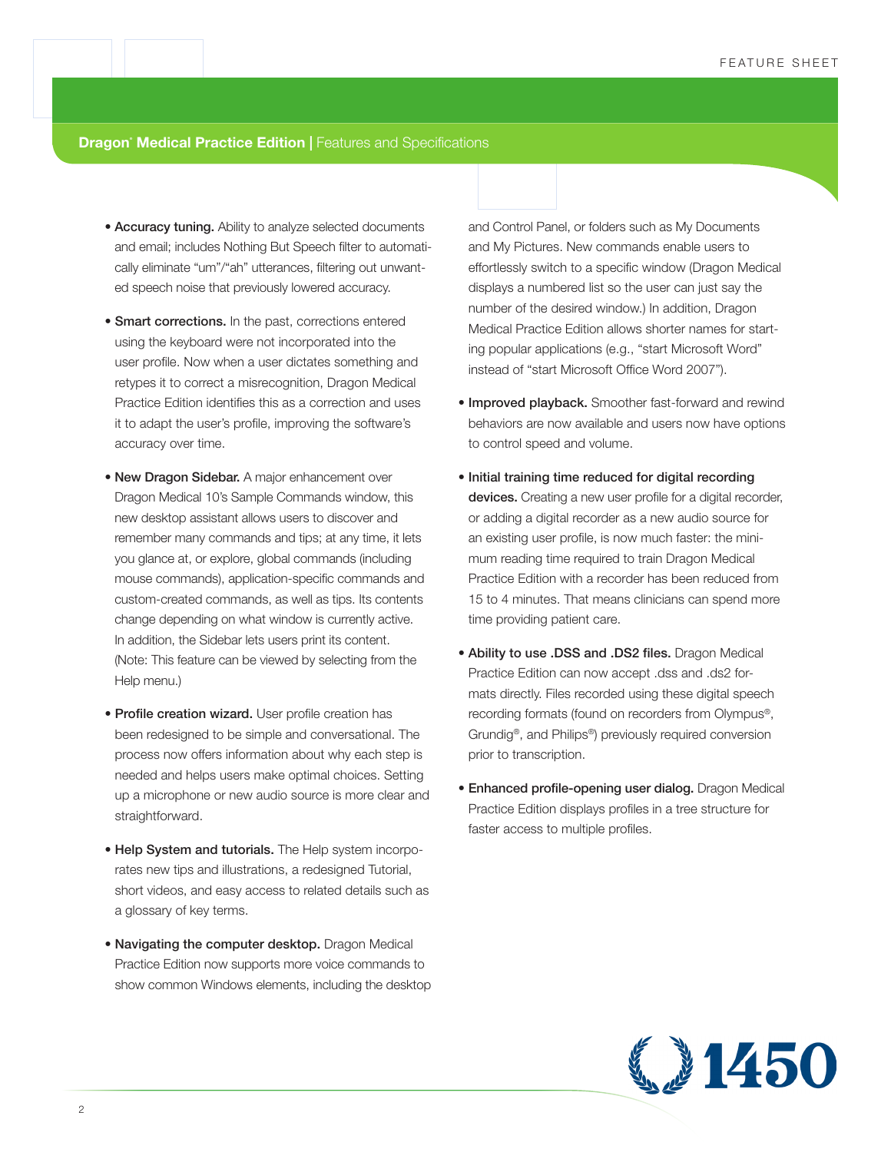**Dragon<sup>®</sup> Medical Practice Edition | Features and Specifications** 

- Accuracy tuning. Ability to analyze selected documents and email; includes Nothing But Speech filter to automatically eliminate "um"/"ah" utterances, filtering out unwanted speech noise that previously lowered accuracy.
- Smart corrections. In the past, corrections entered using the keyboard were not incorporated into the user profile. Now when a user dictates something and retypes it to correct a misrecognition, Dragon Medical Practice Edition identifies this as a correction and uses it to adapt the user's profile, improving the software's accuracy over time.
- New Dragon Sidebar. A major enhancement over Dragon Medical 10's Sample Commands window, this new desktop assistant allows users to discover and remember many commands and tips; at any time, it lets you glance at, or explore, global commands (including mouse commands), application-specific commands and custom-created commands, as well as tips. Its contents change depending on what window is currently active. In addition, the Sidebar lets users print its content. (Note: This feature can be viewed by selecting from the Help menu.)
- Profile creation wizard. User profile creation has been redesigned to be simple and conversational. The process now offers information about why each step is needed and helps users make optimal choices. Setting up a microphone or new audio source is more clear and straightforward.
- Help System and tutorials. The Help system incorporates new tips and illustrations, a redesigned Tutorial, short videos, and easy access to related details such as a glossary of key terms.
- Navigating the computer desktop. Dragon Medical Practice Edition now supports more voice commands to show common Windows elements, including the desktop

and Control Panel, or folders such as My Documents and My Pictures. New commands enable users to effortlessly switch to a specific window (Dragon Medical displays a numbered list so the user can just say the number of the desired window.) In addition, Dragon Medical Practice Edition allows shorter names for starting popular applications (e.g., "start Microsoft Word" instead of "start Microsoft Office Word 2007").

- **Improved playback.** Smoother fast-forward and rewind behaviors are now available and users now have options to control speed and volume.
- Initial training time reduced for digital recording devices. Creating a new user profile for a digital recorder, or adding a digital recorder as a new audio source for an existing user profile, is now much faster: the minimum reading time required to train Dragon Medical Practice Edition with a recorder has been reduced from 15 to 4 minutes. That means clinicians can spend more time providing patient care.
- Ability to use .DSS and .DS2 files. Dragon Medical Practice Edition can now accept .dss and .ds2 formats directly. Files recorded using these digital speech recording formats (found on recorders from Olympus®, Grundig®, and Philips®) previously required conversion prior to transcription.
- Enhanced profile-opening user dialog. Dragon Medical Practice Edition displays profiles in a tree structure for faster access to multiple profiles.

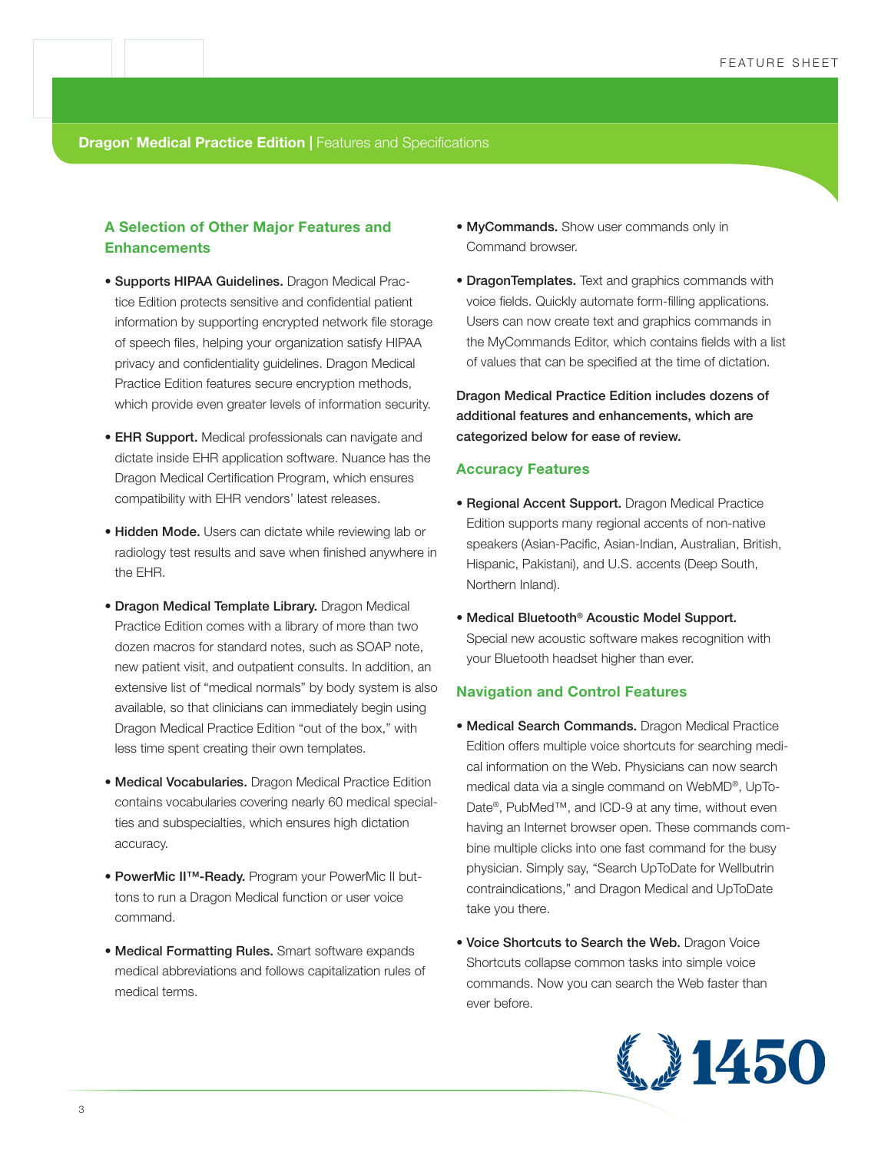**Dragon<sup>®</sup> Medical Practice Edition | Features and Specifications** 

# **A Selection of Other Major Features and Enhancements**

- Supports HIPAA Guidelines. Dragon Medical Practice Edition protects sensitive and confidential patient information by supporting encrypted network file storage of speech files, helping your organization satisfy HIPAA privacy and confidentiality guidelines. Dragon Medical Practice Edition features secure encryption methods, which provide even greater levels of information security.
- EHR Support. Medical professionals can navigate and dictate inside EHR application software. Nuance has the Dragon Medical Certification Program, which ensures compatibility with EHR vendors' latest releases.
- Hidden Mode. Users can dictate while reviewing lab or radiology test results and save when finished anywhere in the EHR.
- Dragon Medical Template Library. Dragon Medical Practice Edition comes with a library of more than two dozen macros for standard notes, such as SOAP note, new patient visit, and outpatient consults. In addition, an extensive list of "medical normals" by body system is also available, so that clinicians can immediately begin using Dragon Medical Practice Edition "out of the box," with less time spent creating their own templates.
- Medical Vocabularies. Dragon Medical Practice Edition contains vocabularies covering nearly 60 medical specialties and subspecialties, which ensures high dictation accuracy.
- PowerMic II™-Ready. Program your PowerMic II buttons to run a Dragon Medical function or user voice command.
- Medical Formatting Rules. Smart software expands medical abbreviations and follows capitalization rules of medical terms.
- MyCommands. Show user commands only in Command browser.
- **DragonTemplates.** Text and graphics commands with voice fields. Quickly automate form-filling applications. Users can now create text and graphics commands in the MyCommands Editor, which contains fields with a list of values that can be specified at the time of dictation.

Dragon Medical Practice Edition includes dozens of additional features and enhancements, which are categorized below for ease of review.

#### **Accuracy Features**

- Regional Accent Support. Dragon Medical Practice Edition supports many regional accents of non-native speakers (Asian-Pacific, Asian-Indian, Australian, British, Hispanic, Pakistani), and U.S. accents (Deep South, Northern Inland).
- Medical Bluetooth® Acoustic Model Support. Special new acoustic software makes recognition with your Bluetooth headset higher than ever.

#### **Navigation and Control Features**

- Medical Search Commands. Dragon Medical Practice Edition offers multiple voice shortcuts for searching medical information on the Web. Physicians can now search medical data via a single command on WebMD®, UpTo-Date®, PubMed™, and ICD-9 at any time, without even having an Internet browser open. These commands combine multiple clicks into one fast command for the busy physician. Simply say, "Search UpToDate for Wellbutrin contraindications," and Dragon Medical and UpToDate take you there.
- Voice Shortcuts to Search the Web. Dragon Voice Shortcuts collapse common tasks into simple voice commands. Now you can search the Web faster than ever before.

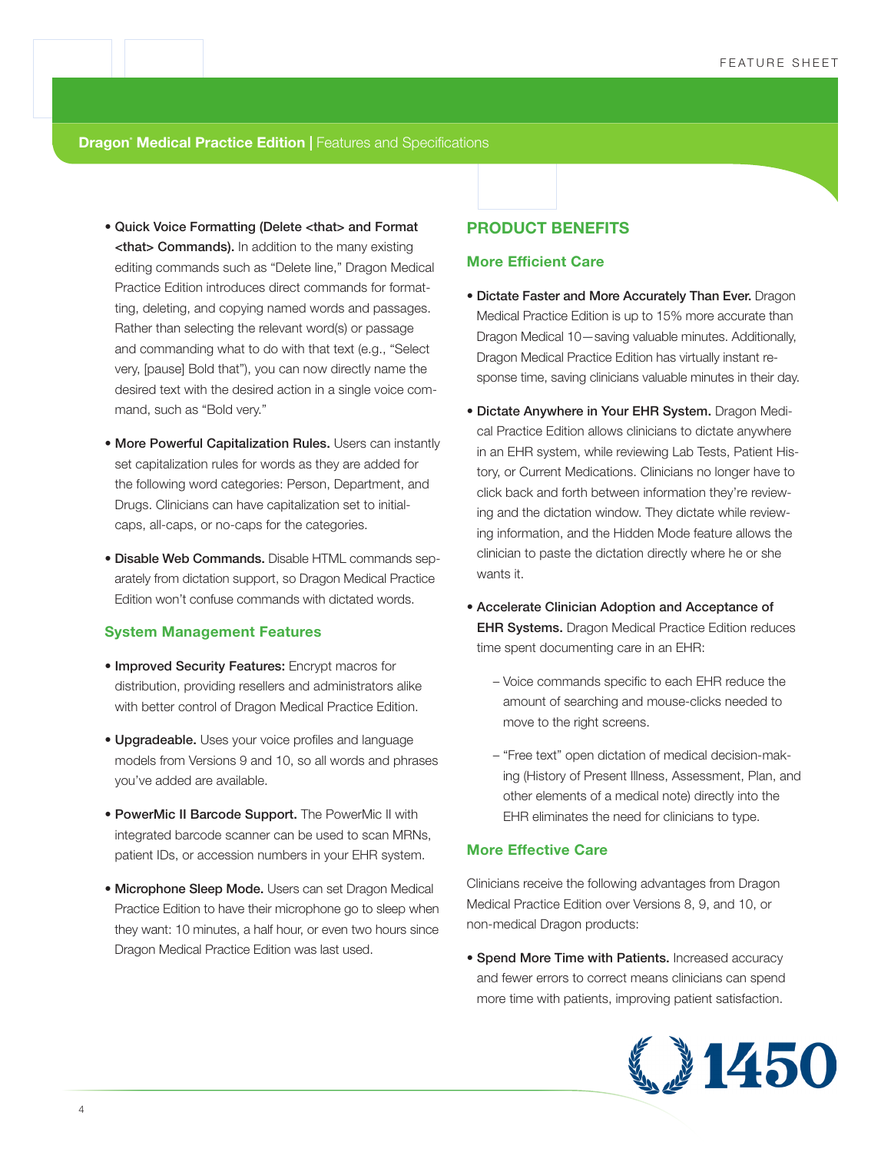**Dragon<sup>®</sup> Medical Practice Edition | Features and Specifications** 

- Quick Voice Formatting (Delete <that> and Format <that> Commands). In addition to the many existing editing commands such as "Delete line," Dragon Medical Practice Edition introduces direct commands for formatting, deleting, and copying named words and passages. Rather than selecting the relevant word(s) or passage and commanding what to do with that text (e.g., "Select very, [pause] Bold that"), you can now directly name the desired text with the desired action in a single voice command, such as "Bold very."
- More Powerful Capitalization Rules. Users can instantly set capitalization rules for words as they are added for the following word categories: Person, Department, and Drugs. Clinicians can have capitalization set to initialcaps, all-caps, or no-caps for the categories.
- Disable Web Commands. Disable HTML commands separately from dictation support, so Dragon Medical Practice Edition won't confuse commands with dictated words.

#### **System Management Features**

- Improved Security Features: Encrypt macros for distribution, providing resellers and administrators alike with better control of Dragon Medical Practice Edition.
- Upgradeable. Uses your voice profiles and language models from Versions 9 and 10, so all words and phrases you've added are available.
- PowerMic II Barcode Support. The PowerMic II with integrated barcode scanner can be used to scan MRNs, patient IDs, or accession numbers in your EHR system.
- Microphone Sleep Mode. Users can set Dragon Medical Practice Edition to have their microphone go to sleep when they want: 10 minutes, a half hour, or even two hours since Dragon Medical Practice Edition was last used.

## **PRODUCT BENEFITS**

#### **More Efficient Care**

- Dictate Faster and More Accurately Than Ever. Dragon Medical Practice Edition is up to 15% more accurate than Dragon Medical 10—saving valuable minutes. Additionally, Dragon Medical Practice Edition has virtually instant response time, saving clinicians valuable minutes in their day.
- Dictate Anywhere in Your EHR System. Dragon Medical Practice Edition allows clinicians to dictate anywhere in an EHR system, while reviewing Lab Tests, Patient History, or Current Medications. Clinicians no longer have to click back and forth between information they're reviewing and the dictation window. They dictate while reviewing information, and the Hidden Mode feature allows the clinician to paste the dictation directly where he or she wants it.
- Accelerate Clinician Adoption and Acceptance of **EHR Systems.** Dragon Medical Practice Edition reduces time spent documenting care in an EHR:
	- Voice commands specific to each EHR reduce the amount of searching and mouse-clicks needed to move to the right screens.
	- "Free text" open dictation of medical decision-making (History of Present Illness, Assessment, Plan, and other elements of a medical note) directly into the EHR eliminates the need for clinicians to type.

## **More Effective Care**

Clinicians receive the following advantages from Dragon Medical Practice Edition over Versions 8, 9, and 10, or non-medical Dragon products:

• Spend More Time with Patients. Increased accuracy and fewer errors to correct means clinicians can spend more time with patients, improving patient satisfaction.